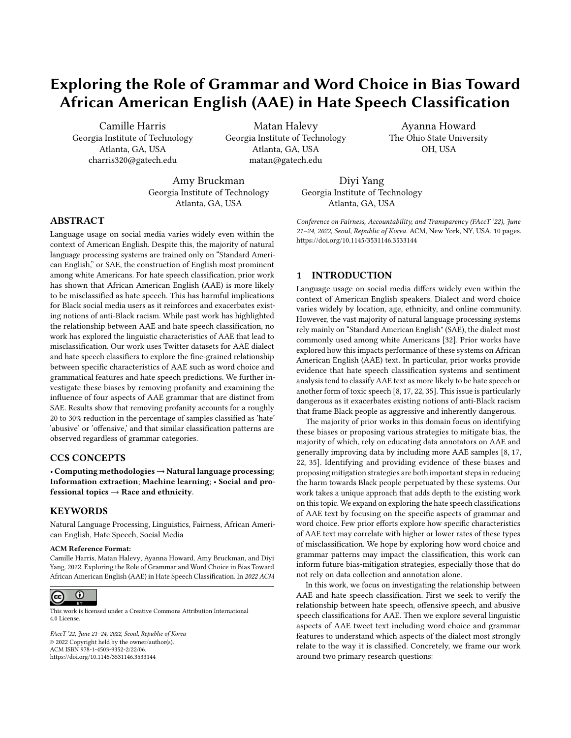# Exploring the Role of Grammar and Word Choice in Bias Toward African American English (AAE) in Hate Speech Classification

Camille Harris Georgia Institute of Technology Atlanta, GA, USA charris320@gatech.edu

Matan Halevy Georgia Institute of Technology Atlanta, GA, USA matan@gatech.edu

Amy Bruckman Georgia Institute of Technology Atlanta, GA, USA

Diyi Yang Georgia Institute of Technology Atlanta, GA, USA

#### ABSTRACT

Language usage on social media varies widely even within the context of American English. Despite this, the majority of natural language processing systems are trained only on "Standard American English," or SAE, the construction of English most prominent among white Americans. For hate speech classification, prior work has shown that African American English (AAE) is more likely to be misclassified as hate speech. This has harmful implications for Black social media users as it reinforces and exacerbates existing notions of anti-Black racism. While past work has highlighted the relationship between AAE and hate speech classification, no work has explored the linguistic characteristics of AAE that lead to misclassification. Our work uses Twitter datasets for AAE dialect and hate speech classifiers to explore the fine-grained relationship between specific characteristics of AAE such as word choice and grammatical features and hate speech predictions. We further investigate these biases by removing profanity and examining the influence of four aspects of AAE grammar that are distinct from SAE. Results show that removing profanity accounts for a roughly 20 to 30% reduction in the percentage of samples classified as 'hate' 'abusive' or 'offensive,' and that similar classification patterns are observed regardless of grammar categories.

# CCS CONCEPTS

• Computing methodologies → Natural language processing; Information extraction; Machine learning; • Social and professional topics  $\rightarrow$  Race and ethnicity.

#### **KEYWORDS**

Natural Language Processing, Linguistics, Fairness, African American English, Hate Speech, Social Media

#### ACM Reference Format:

Camille Harris, Matan Halevy, Ayanna Howard, Amy Bruckman, and Diyi Yang. 2022. Exploring the Role of Grammar and Word Choice in Bias Toward African American English (AAE) in Hate Speech Classification. In 2022 ACM



This work is licensed under a [Creative Commons Attribution International](https://creativecommons.org/licenses/by/4.0/) [4.0 License.](https://creativecommons.org/licenses/by/4.0/)

FAccT '22, June 21–24, 2022, Seoul, Republic of Korea © 2022 Copyright held by the owner/author(s). ACM ISBN 978-1-4503-9352-2/22/06. <https://doi.org/10.1145/3531146.3533144>

Conference on Fairness, Accountability, and Transparency (FAccT '22), June 21–24, 2022, Seoul, Republic of Korea. ACM, New York, NY, USA, [10](#page-9-0) pages. <https://doi.org/10.1145/3531146.3533144>

Ayanna Howard The Ohio State University OH, USA

# 1 INTRODUCTION

Language usage on social media differs widely even within the context of American English speakers. Dialect and word choice varies widely by location, age, ethnicity, and online community. However, the vast majority of natural language processing systems rely mainly on "Standard American English" (SAE), the dialect most commonly used among white Americans [\[32\]](#page-9-1). Prior works have explored how this impacts performance of these systems on African American English (AAE) text. In particular, prior works provide evidence that hate speech classification systems and sentiment analysis tend to classify AAE text as more likely to be hate speech or another form of toxic speech [\[8,](#page-8-0) [17,](#page-9-2) [22,](#page-9-3) [35\]](#page-9-4). This issue is particularly dangerous as it exacerbates existing notions of anti-Black racism that frame Black people as aggressive and inherently dangerous.

The majority of prior works in this domain focus on identifying these biases or proposing various strategies to mitigate bias, the majority of which, rely on educating data annotators on AAE and generally improving data by including more AAE samples [\[8,](#page-8-0) [17,](#page-9-2) [22,](#page-9-3) [35\]](#page-9-4). Identifying and providing evidence of these biases and proposing mitigation strategies are both important steps in reducing the harm towards Black people perpetuated by these systems. Our work takes a unique approach that adds depth to the existing work on this topic. We expand on exploring the hate speech classifications of AAE text by focusing on the specific aspects of grammar and word choice. Few prior efforts explore how specific characteristics of AAE text may correlate with higher or lower rates of these types of misclassification. We hope by exploring how word choice and grammar patterns may impact the classification, this work can inform future bias-mitigation strategies, especially those that do not rely on data collection and annotation alone.

In this work, we focus on investigating the relationship between AAE and hate speech classification. First we seek to verify the relationship between hate speech, offensive speech, and abusive speech classifications for AAE. Then we explore several linguistic aspects of AAE tweet text including word choice and grammar features to understand which aspects of the dialect most strongly relate to the way it is classified. Concretely, we frame our work around two primary research questions: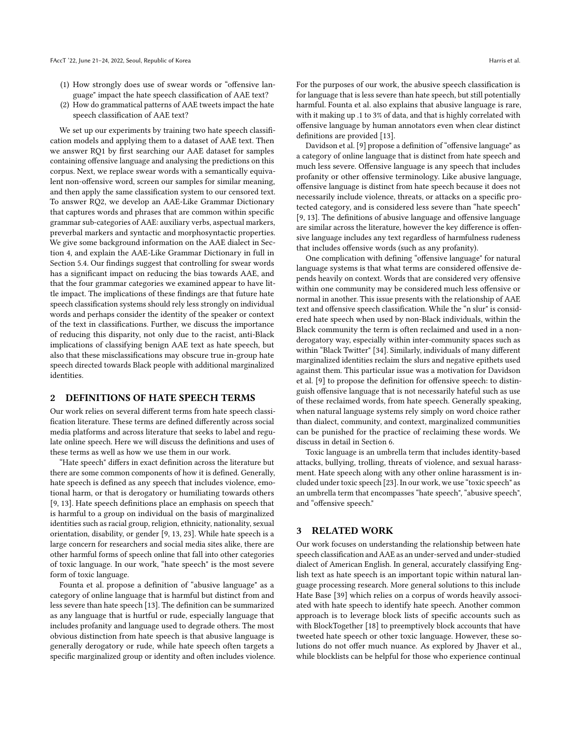- (1) How strongly does use of swear words or "offensive language" impact the hate speech classification of AAE text?
- (2) How do grammatical patterns of AAE tweets impact the hate speech classification of AAE text?

We set up our experiments by training two hate speech classification models and applying them to a dataset of AAE text. Then we answer RQ1 by first searching our AAE dataset for samples containing offensive language and analysing the predictions on this corpus. Next, we replace swear words with a semantically equivalent non-offensive word, screen our samples for similar meaning, and then apply the same classification system to our censored text. To answer RQ2, we develop an AAE-Like Grammar Dictionary that captures words and phrases that are common within specific grammar sub-categories of AAE: auxiliary verbs, aspectual markers, preverbal markers and syntactic and morphosyntactic properties. We give some background information on the AAE dialect in Section 4, and explain the AAE-Like Grammar Dictionary in full in Section 5.4. Our findings suggest that controlling for swear words has a significant impact on reducing the bias towards AAE, and that the four grammar categories we examined appear to have little impact. The implications of these findings are that future hate speech classification systems should rely less strongly on individual words and perhaps consider the identity of the speaker or context of the text in classifications. Further, we discuss the importance of reducing this disparity, not only due to the racist, anti-Black implications of classifying benign AAE text as hate speech, but also that these misclassifications may obscure true in-group hate speech directed towards Black people with additional marginalized identities.

## 2 DEFINITIONS OF HATE SPEECH TERMS

Our work relies on several different terms from hate speech classification literature. These terms are defined differently across social media platforms and across literature that seeks to label and regulate online speech. Here we will discuss the definitions and uses of these terms as well as how we use them in our work.

"Hate speech" differs in exact definition across the literature but there are some common components of how it is defined. Generally, hate speech is defined as any speech that includes violence, emotional harm, or that is derogatory or humiliating towards others [\[9,](#page-8-1) [13\]](#page-8-2). Hate speech definitions place an emphasis on speech that is harmful to a group on individual on the basis of marginalized identities such as racial group, religion, ethnicity, nationality, sexual orientation, disability, or gender [\[9,](#page-8-1) [13,](#page-8-2) [23\]](#page-9-5). While hate speech is a large concern for researchers and social media sites alike, there are other harmful forms of speech online that fall into other categories of toxic language. In our work, "hate speech" is the most severe form of toxic language.

Founta et al. propose a definition of "abusive language" as a category of online language that is harmful but distinct from and less severe than hate speech [\[13\]](#page-8-2). The definition can be summarized as any language that is hurtful or rude, especially language that includes profanity and language used to degrade others. The most obvious distinction from hate speech is that abusive language is generally derogatory or rude, while hate speech often targets a specific marginalized group or identity and often includes violence. For the purposes of our work, the abusive speech classification is for language that is less severe than hate speech, but still potentially harmful. Founta et al. also explains that abusive language is rare, with it making up .1 to 3% of data, and that is highly correlated with offensive language by human annotators even when clear distinct definitions are provided [\[13\]](#page-8-2).

Davidson et al. [\[9\]](#page-8-1) propose a definition of "offensive language" as a category of online language that is distinct from hate speech and much less severe. Offensive language is any speech that includes profanity or other offensive terminology. Like abusive language, offensive language is distinct from hate speech because it does not necessarily include violence, threats, or attacks on a specific protected category, and is considered less severe than "hate speech" [\[9,](#page-8-1) [13\]](#page-8-2). The definitions of abusive language and offensive language are similar across the literature, however the key difference is offensive language includes any text regardless of harmfulness rudeness that includes offensive words (such as any profanity).

One complication with defining "offensive language" for natural language systems is that what terms are considered offensive depends heavily on context. Words that are considered very offensive within one community may be considered much less offensive or normal in another. This issue presents with the relationship of AAE text and offensive speech classification. While the "n slur" is considered hate speech when used by non-Black individuals, within the Black community the term is often reclaimed and used in a nonderogatory way, especially within inter-community spaces such as within "Black Twitter" [\[34\]](#page-9-6). Similarly, individuals of many different marginalized identities reclaim the slurs and negative epithets used against them. This particular issue was a motivation for Davidson et al. [\[9\]](#page-8-1) to propose the definition for offensive speech: to distinguish offensive language that is not necessarily hateful such as use of these reclaimed words, from hate speech. Generally speaking, when natural language systems rely simply on word choice rather than dialect, community, and context, marginalized communities can be punished for the practice of reclaiming these words. We discuss in detail in Section 6.

Toxic language is an umbrella term that includes identity-based attacks, bullying, trolling, threats of violence, and sexual harassment. Hate speech along with any other online harassment is included under toxic speech [\[23\]](#page-9-5). In our work, we use "toxic speech" as an umbrella term that encompasses "hate speech", "abusive speech", and "offensive speech."

#### 3 RELATED WORK

Our work focuses on understanding the relationship between hate speech classification and AAE as an under-served and under-studied dialect of American English. In general, accurately classifying English text as hate speech is an important topic within natural language processing research. More general solutions to this include Hate Base [\[39\]](#page-9-7) which relies on a corpus of words heavily associated with hate speech to identify hate speech. Another common approach is to leverage block lists of specific accounts such as with BlockTogether [\[18\]](#page-9-8) to preemptively block accounts that have tweeted hate speech or other toxic language. However, these solutions do not offer much nuance. As explored by Jhaver et al., while blocklists can be helpful for those who experience continual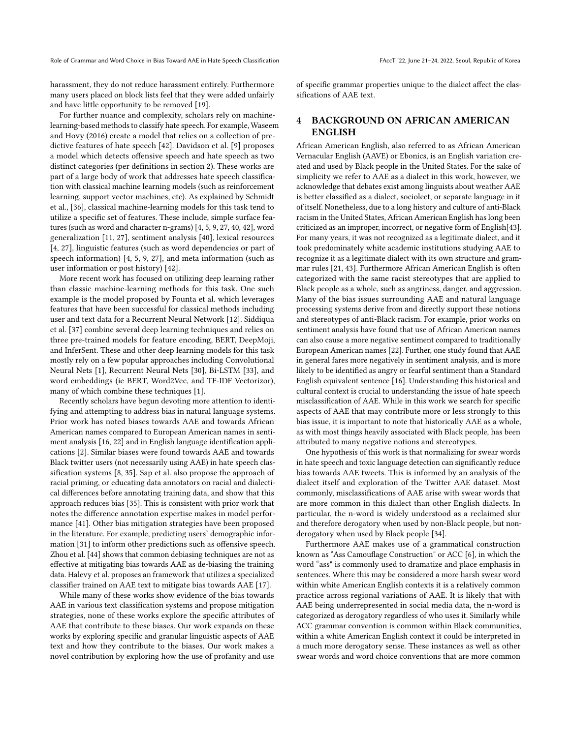Role of Grammar and Word Choice in Bias Toward AAE in Hate Speech Classification FACCT '22, June 21-24, 2022, Seoul, Republic of Korea

harassment, they do not reduce harassment entirely. Furthermore many users placed on block lists feel that they were added unfairly and have little opportunity to be removed [\[19\]](#page-9-9).

For further nuance and complexity, scholars rely on machinelearning-based methods to classify hate speech. For example, Waseem and Hovy (2016) create a model that relies on a collection of predictive features of hate speech [\[42\]](#page-9-10). Davidson et al. [\[9\]](#page-8-1) proposes a model which detects offensive speech and hate speech as two distinct categories (per definitions in section 2). These works are part of a large body of work that addresses hate speech classification with classical machine learning models (such as reinforcement learning, support vector machines, etc). As explained by Schmidt et al., [\[36\]](#page-9-11), classical machine-learning models for this task tend to utilize a specific set of features. These include, simple surface features (such as word and character n-grams) [\[4,](#page-8-3) [5,](#page-8-4) [9,](#page-8-1) [27,](#page-9-12) [40,](#page-9-13) [42\]](#page-9-10), word generalization [\[11,](#page-8-5) [27\]](#page-9-12), sentiment analysis [\[40\]](#page-9-13), lexical resources [\[4,](#page-8-3) [27\]](#page-9-12), linguistic features (such as word dependencies or part of speech information) [\[4,](#page-8-3) [5,](#page-8-4) [9,](#page-8-1) [27\]](#page-9-12), and meta information (such as user information or post history) [\[42\]](#page-9-10).

More recent work has focused on utilizing deep learning rather than classic machine-learning methods for this task. One such example is the model proposed by Founta et al. which leverages features that have been successful for classical methods including user and text data for a Recurrent Neural Network [\[12\]](#page-8-6). Siddiqua et al. [\[37\]](#page-9-14) combine several deep learning techniques and relies on three pre-trained models for feature encoding, BERT, DeepMoji, and InferSent. These and other deep learning models for this task mostly rely on a few popular approaches including Convolutional Neural Nets [\[1\]](#page-8-7), Recurrent Neural Nets [\[30\]](#page-9-15), Bi-LSTM [\[33\]](#page-9-16), and word embeddings (ie BERT, Word2Vec, and TF-IDF Vectorizor), many of which combine these techniques [\[1\]](#page-8-7).

Recently scholars have begun devoting more attention to identifying and attempting to address bias in natural language systems. Prior work has noted biases towards AAE and towards African American names compared to European American names in sentiment analysis [\[16,](#page-8-8) [22\]](#page-9-3) and in English language identification applications [\[2\]](#page-8-9). Similar biases were found towards AAE and towards Black twitter users (not necessarily using AAE) in hate speech classification systems [\[8,](#page-8-0) [35\]](#page-9-4). Sap et al. also propose the approach of racial priming, or educating data annotators on racial and dialectical differences before annotating training data, and show that this approach reduces bias [\[35\]](#page-9-4). This is consistent with prior work that notes the difference annotation expertise makes in model performance [\[41\]](#page-9-17). Other bias mitigation strategies have been proposed in the literature. For example, predicting users' demographic information [\[31\]](#page-9-18) to inform other predictions such as offensive speech. Zhou et al. [\[44\]](#page-9-19) shows that common debiasing techniques are not as effective at mitigating bias towards AAE as de-biasing the training data. Halevy et al. proposes an framework that utilizes a specialized classifier trained on AAE text to mitigate bias towards AAE [\[17\]](#page-9-2).

While many of these works show evidence of the bias towards AAE in various text classification systems and propose mitigation strategies, none of these works explore the specific attributes of AAE that contribute to these biases. Our work expands on these works by exploring specific and granular linguistic aspects of AAE text and how they contribute to the biases. Our work makes a novel contribution by exploring how the use of profanity and use of specific grammar properties unique to the dialect affect the classifications of AAE text.

# 4 BACKGROUND ON AFRICAN AMERICAN ENGLISH

African American English, also referred to as African American Vernacular English (AAVE) or Ebonics, is an English variation created and used by Black people in the United States. For the sake of simplicity we refer to AAE as a dialect in this work, however, we acknowledge that debates exist among linguists about weather AAE is better classified as a dialect, sociolect, or separate language in it of itself. Nonetheless, due to a long history and culture of anti-Black racism in the United States, African American English has long been criticized as an improper, incorrect, or negative form of English[\[43\]](#page-9-20). For many years, it was not recognized as a legitimate dialect, and it took predominately white academic institutions studying AAE to recognize it as a legitimate dialect with its own structure and grammar rules [\[21,](#page-9-21) [43\]](#page-9-20). Furthermore African American English is often categorized with the same racist stereotypes that are applied to Black people as a whole, such as angriness, danger, and aggression. Many of the bias issues surrounding AAE and natural language processing systems derive from and directly support these notions and stereotypes of anti-Black racism. For example, prior works on sentiment analysis have found that use of African American names can also cause a more negative sentiment compared to traditionally European American names [\[22\]](#page-9-3). Further, one study found that AAE in general fares more negatively in sentiment analysis, and is more likely to be identified as angry or fearful sentiment than a Standard English equivalent sentence [\[16\]](#page-8-8). Understanding this historical and cultural context is crucial to understanding the issue of hate speech misclassification of AAE. While in this work we search for specific aspects of AAE that may contribute more or less strongly to this bias issue, it is important to note that historically AAE as a whole, as with most things heavily associated with Black people, has been attributed to many negative notions and stereotypes.

One hypothesis of this work is that normalizing for swear words in hate speech and toxic language detection can significantly reduce bias towards AAE tweets. This is informed by an analysis of the dialect itself and exploration of the Twitter AAE dataset. Most commonly, misclassifications of AAE arise with swear words that are more common in this dialect than other English dialects. In particular, the n-word is widely understood as a reclaimed slur and therefore derogatory when used by non-Black people, but nonderogatory when used by Black people [\[34\]](#page-9-6).

Furthermore AAE makes use of a grammatical construction known as "Ass Camouflage Construction" or ACC [\[6\]](#page-8-10), in which the word "ass" is commonly used to dramatize and place emphasis in sentences. Where this may be considered a more harsh swear word within white American English contexts it is a relatively common practice across regional variations of AAE. It is likely that with AAE being underrepresented in social media data, the n-word is categorized as derogatory regardless of who uses it. Similarly while ACC grammar convention is common within Black communities, within a white American English context it could be interpreted in a much more derogatory sense. These instances as well as other swear words and word choice conventions that are more common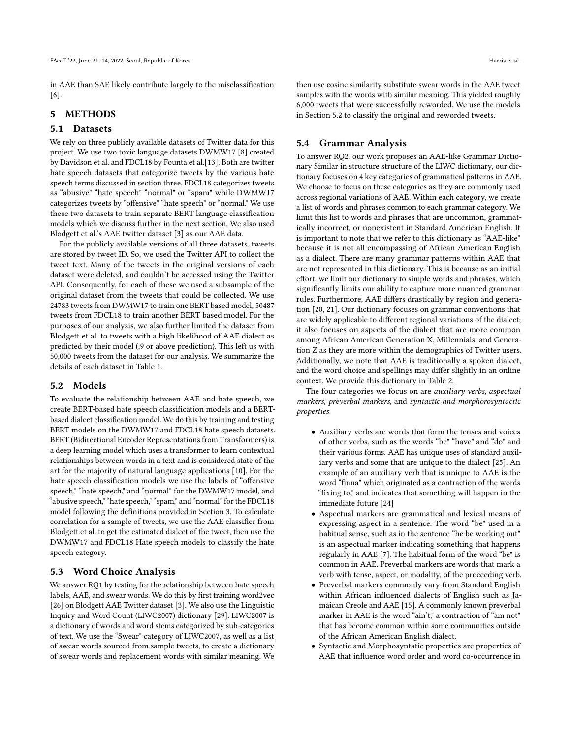in AAE than SAE likely contribute largely to the misclassification [\[6\]](#page-8-10).

# 5 METHODS

## 5.1 Datasets

We rely on three publicly available datasets of Twitter data for this project. We use two toxic language datasets DWMW17 [\[8\]](#page-8-0) created by Davidson et al. and FDCL18 by Founta et al.[\[13\]](#page-8-2). Both are twitter hate speech datasets that categorize tweets by the various hate speech terms discussed in section three. FDCL18 categorizes tweets as "abusive" "hate speech" "normal" or "spam" while DWMW17 categorizes tweets by "offensive" "hate speech" or "normal." We use these two datasets to train separate BERT language classification models which we discuss further in the next section. We also used Blodgett et al.'s AAE twitter dataset [\[3\]](#page-8-11) as our AAE data.

For the publicly available versions of all three datasets, tweets are stored by tweet ID. So, we used the Twitter API to collect the tweet text. Many of the tweets in the original versions of each dataset were deleted, and couldn't be accessed using the Twitter API. Consequently, for each of these we used a subsample of the original dataset from the tweets that could be collected. We use 24783 tweets from DWMW17 to train one BERT based model, 50487 tweets from FDCL18 to train another BERT based model. For the purposes of our analysis, we also further limited the dataset from Blodgett et al. to tweets with a high likelihood of AAE dialect as predicted by their model (.9 or above prediction). This left us with 50,000 tweets from the dataset for our analysis. We summarize the details of each dataset in Table [1.](#page-4-0)

#### 5.2 Models

To evaluate the relationship between AAE and hate speech, we create BERT-based hate speech classification models and a BERTbased dialect classification model. We do this by training and testing BERT models on the DWMW17 and FDCL18 hate speech datasets. BERT (Bidirectional Encoder Representations from Transformers) is a deep learning model which uses a transformer to learn contextual relationships between words in a text and is considered state of the art for the majority of natural language applications [\[10\]](#page-8-12). For the hate speech classification models we use the labels of "offensive speech," "hate speech," and "normal" for the DWMW17 model, and "abusive speech," "hate speech," "spam," and "normal" for the FDCL18 model following the definitions provided in Section 3. To calculate correlation for a sample of tweets, we use the AAE classifier from Blodgett et al. to get the estimated dialect of the tweet, then use the DWMW17 and FDCL18 Hate speech models to classify the hate speech category.

#### 5.3 Word Choice Analysis

We answer RQ1 by testing for the relationship between hate speech labels, AAE, and swear words. We do this by first training word2vec [\[26\]](#page-9-22) on Blodgett AAE Twitter dataset [\[3\]](#page-8-11). We also use the Linguistic Inquiry and Word Count (LIWC2007) dictionary [\[29\]](#page-9-23). LIWC2007 is a dictionary of words and word stems categorized by sub-categories of text. We use the "Swear" category of LIWC2007, as well as a list of swear words sourced from sample tweets, to create a dictionary of swear words and replacement words with similar meaning. We then use cosine similarity substitute swear words in the AAE tweet samples with the words with similar meaning. This yielded roughly 6,000 tweets that were successfully reworded. We use the models in Section 5.2 to classify the original and reworded tweets.

#### 5.4 Grammar Analysis

To answer RQ2, our work proposes an AAE-like Grammar Dictionary Similar in structure structure of the LIWC dictionary, our dictionary focuses on 4 key categories of grammatical patterns in AAE. We choose to focus on these categories as they are commonly used across regional variations of AAE. Within each category, we create a list of words and phrases common to each grammar category. We limit this list to words and phrases that are uncommon, grammatically incorrect, or nonexistent in Standard American English. It is important to note that we refer to this dictionary as "AAE-like" because it is not all encompassing of African American English as a dialect. There are many grammar patterns within AAE that are not represented in this dictionary. This is because as an initial effort, we limit our dictionary to simple words and phrases, which significantly limits our ability to capture more nuanced grammar rules. Furthermore, AAE differs drastically by region and generation [\[20,](#page-9-24) [21\]](#page-9-21). Our dictionary focuses on grammar conventions that are widely applicable to different regional variations of the dialect; it also focuses on aspects of the dialect that are more common among African American Generation X, Millennials, and Generation Z as they are more within the demographics of Twitter users. Additionally, we note that AAE is traditionally a spoken dialect, and the word choice and spellings may differ slightly in an online context. We provide this dictionary in Table [2.](#page-5-0)

The four categories we focus on are *auxiliary verbs*, *aspectual* markers, preverbal markers, and syntactic and morphorosyntactic properties:

- Auxiliary verbs are words that form the tenses and voices of other verbs, such as the words "be" "have" and "do" and their various forms. AAE has unique uses of standard auxiliary verbs and some that are unique to the dialect [\[25\]](#page-9-25). An example of an auxiliary verb that is unique to AAE is the word "finna" which originated as a contraction of the words "fixing to," and indicates that something will happen in the immediate future [\[24\]](#page-9-26)
- Aspectual markers are grammatical and lexical means of expressing aspect in a sentence. The word "be" used in a habitual sense, such as in the sentence "he be working out" is an aspectual marker indicating something that happens regularly in AAE [\[7\]](#page-8-13). The habitual form of the word "be" is common in AAE. Preverbal markers are words that mark a verb with tense, aspect, or modality, of the proceeding verb.
- Preverbal markers commonly vary from Standard English within African influenced dialects of English such as Jamaican Creole and AAE [\[15\]](#page-8-14). A commonly known preverbal marker in AAE is the word "ain't," a contraction of "am not" that has become common within some communities outside of the African American English dialect.
- Syntactic and Morphosyntatic properties are properties of AAE that influence word order and word co-occurrence in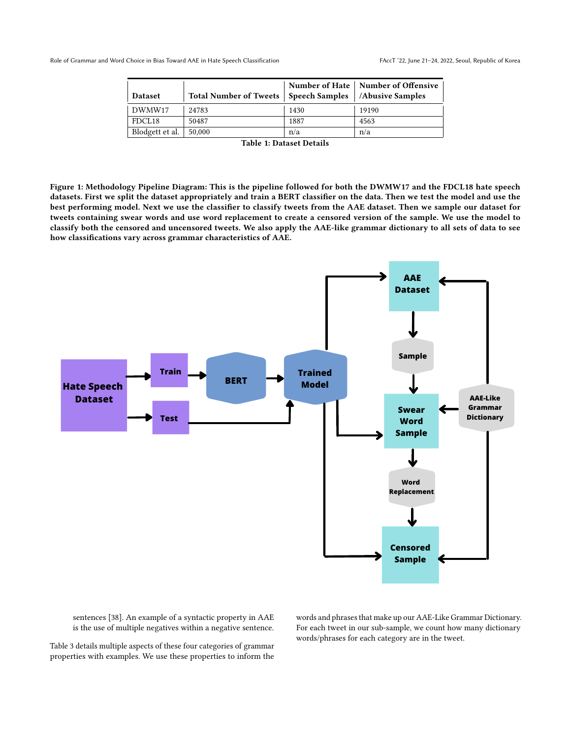<span id="page-4-0"></span>

| <b>Dataset</b>  | Total Number of Tweets   Speech Samples |      | Number of Hate   Number of Offensive<br>  /Abusive Samples |
|-----------------|-----------------------------------------|------|------------------------------------------------------------|
| DWMW17          | 24783                                   | 1430 | 19190                                                      |
| FDCL18          | 50487                                   | 1887 | 4563                                                       |
| Blodgett et al. | 50,000                                  | n/a  | n/a                                                        |

Table 1: Dataset Details

Figure 1: Methodology Pipeline Diagram: This is the pipeline followed for both the DWMW17 and the FDCL18 hate speech datasets. First we split the dataset appropriately and train a BERT classifier on the data. Then we test the model and use the best performing model. Next we use the classifier to classify tweets from the AAE dataset. Then we sample our dataset for tweets containing swear words and use word replacement to create a censored version of the sample. We use the model to classify both the censored and uncensored tweets. We also apply the AAE-like grammar dictionary to all sets of data to see how classifications vary across grammar characteristics of AAE.



sentences [\[38\]](#page-9-27). An example of a syntactic property in AAE is the use of multiple negatives within a negative sentence.

Table [3](#page-5-1) details multiple aspects of these four categories of grammar properties with examples. We use these properties to inform the

words and phrases that make up our AAE-Like Grammar Dictionary. For each tweet in our sub-sample, we count how many dictionary words/phrases for each category are in the tweet.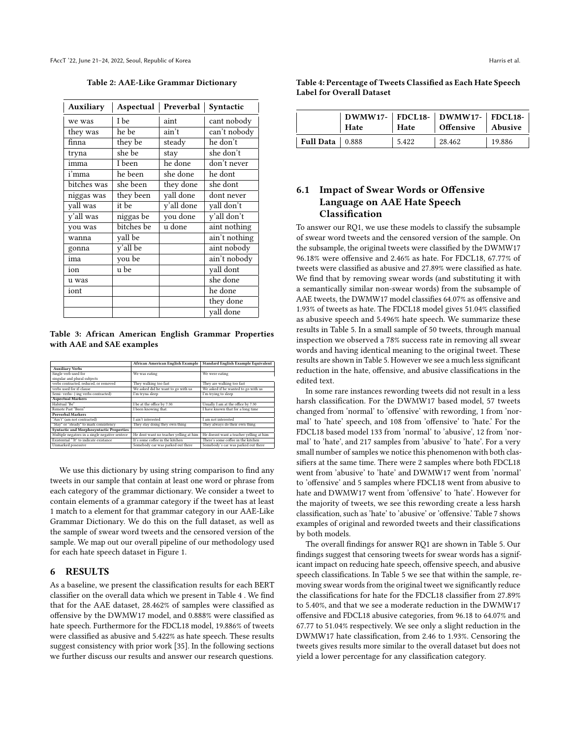<span id="page-5-0"></span>FAccT '22, June 21–24, 2022, Seoul, Republic of Korea Harris et al. (2014) and the state of the Second Harris et al.

Table 2: AAE-Like Grammar Dictionary

| <b>Auxiliary</b> | Aspectual  | Preverbal  | Syntactic     |
|------------------|------------|------------|---------------|
| we was           | I be       | aint       | cant nobody   |
| they was         | he be      | ain't      | can't nobody  |
| finna            | they be    | steady     | he don't      |
| tryna            | she be     | stay       | she don't     |
| imma             | I been     | he done    | don't never   |
| i'mma            | he been    | she done   | he dont       |
| bitches was      | she been   | they done  | she dont      |
| niggas was       | they been  | yall done  | dont never    |
| yall was         | it be      | y'all done | yall don't    |
| y'all was        | niggas be  | you done   | y'all don't   |
| you was          | bitches be | u done     | aint nothing  |
| wanna            | yall be    |            | ain't nothing |
| gonna            | y'all be   |            | aint nobody   |
| ima              | you be     |            | ain't nobody  |
| ion              | u be       |            | yall dont     |
| u was            |            |            | she done      |
| iont             |            |            | he done       |
|                  |            |            | they done     |
|                  |            |            | yall done     |

<span id="page-5-1"></span>Table 3: African American English Grammar Properties with AAE and SAE examples

|                                                 | <b>African American English Example</b> | <b>Standard English Example Equivalent</b> |
|-------------------------------------------------|-----------------------------------------|--------------------------------------------|
| <b>Auxiliary Verbs</b>                          |                                         |                                            |
| Single verb used for                            | We was eating                           | We were eating                             |
| singular and plural subjects                    |                                         |                                            |
| verbs contracted, reduced, or removed           | They walking too fast                   | They are walking too fast                  |
| verbs used for if-clause                        | We asked did he want to go with us      | We asked if he wanted to go with us        |
| Semi- verbs- (-ing verbs contracted)            | I'm tryna sleep                         | I'm trying to sleep                        |
| <b>Aspectual Markers</b>                        |                                         |                                            |
| Habitual "Be"                                   | I be at the office by 7:30.             | Usually I am at the office by 7:30         |
| Remote Past "Been"                              | I been knowing that.                    | I have known that for a long time          |
| <b>Preverbal Markers</b>                        |                                         |                                            |
| "Ain't" (am not contracted)                     | I ain't interested                      | I am not interested                        |
| "Stay" or "steady" to mark consistency          | They stay doing they own thing          | They always do their own thing             |
| <b>Syntactic and Morphosyntactic Properties</b> |                                         |                                            |
| Multiple negators in a single negative sentece  | He dont want no teacher yelling at him  | He doesnt want a teacher yelling at him    |
| Existential "It" to indicate existance          | It's some coffee in the kitchen         | There's some coffee in the kitchen         |
| Unmarked posessive                              | Somebody car was parked out there       | Somebody's car was parked out there        |

We use this dictionary by using string comparison to find any tweets in our sample that contain at least one word or phrase from each category of the grammar dictionary. We consider a tweet to contain elements of a grammar category if the tweet has at least 1 match to a element for that grammar category in our AAE-Like Grammar Dictionary. We do this on the full dataset, as well as the sample of swear word tweets and the censored version of the sample. We map out our overall pipeline of our methodology used for each hate speech dataset in Figure 1.

## 6 RESULTS

As a baseline, we present the classification results for each BERT classifier on the overall data which we present in Table [4](#page-5-2) . We find that for the AAE dataset, 28.462% of samples were classified as offensive by the DWMW17 model, and 0.888% were classified as hate speech. Furthermore for the FDCL18 model, 19.886% of tweets were classified as abusive and 5.422% as hate speech. These results suggest consistency with prior work [\[35\]](#page-9-4). In the following sections we further discuss our results and answer our research questions.

<span id="page-5-2"></span>

| Table 4: Percentage of Tweets Classified as Each Hate Speech |  |
|--------------------------------------------------------------|--|
| <b>Label for Overall Dataset</b>                             |  |

|                   | Hate | Hate  | DWMW17-   FDCL18-   DWMW17-   FDCL18-  <br>Offensive Abusive |        |
|-------------------|------|-------|--------------------------------------------------------------|--------|
| Full Data   0.888 |      | 5.422 | 28.462                                                       | 19.886 |

# 6.1 Impact of Swear Words or Offensive Language on AAE Hate Speech Classification

To answer our RQ1, we use these models to classify the subsample of swear word tweets and the censored version of the sample. On the subsample, the original tweets were classified by the DWMW17 96.18% were offensive and 2.46% as hate. For FDCL18, 67.77% of tweets were classified as abusive and 27.89% were classified as hate. We find that by removing swear words (and substituting it with a semantically similar non-swear words) from the subsample of AAE tweets, the DWMW17 model classifies 64.07% as offensive and 1.93% of tweets as hate. The FDCL18 model gives 51.04% classified as abusive speech and 5.496% hate speech. We summarize these results in Table [5.](#page-6-0) In a small sample of 50 tweets, through manual inspection we observed a 78% success rate in removing all swear words and having identical meaning to the original tweet. These results are shown in Table [5.](#page-6-0) However we see a much less significant reduction in the hate, offensive, and abusive classifications in the edited text.

In some rare instances rewording tweets did not result in a less harsh classification. For the DWMW17 based model, 57 tweets changed from 'normal' to 'offensive' with rewording, 1 from 'normal' to 'hate' speech, and 108 from 'offensive' to 'hate.' For the FDCL18 based model 133 from 'normal' to 'abusive', 12 from 'normal' to 'hate', and 217 samples from 'abusive' to 'hate'. For a very small number of samples we notice this phenomenon with both classifiers at the same time. There were 2 samples where both FDCL18 went from 'abusive' to 'hate' and DWMW17 went from 'normal' to 'offensive' and 5 samples where FDCL18 went from abusive to hate and DWMW17 went from 'offensive' to 'hate'. However for the majority of tweets, we see this rewording create a less harsh classification, such as 'hate' to 'abusive' or 'offensive.' Table [7](#page-7-0) shows examples of original and reworded tweets and their classifications by both models.

The overall findings for answer RQ1 are shown in Table [5.](#page-6-0) Our findings suggest that censoring tweets for swear words has a significant impact on reducing hate speech, offensive speech, and abusive speech classifications. In Table [5](#page-6-0) we see that within the sample, removing swear words from the original tweet we significantly reduce the classifications for hate for the FDCL18 classifier from 27.89% to 5.40%, and that we see a moderate reduction in the DWMW17 offensive and FDCL18 abusive categories, from 96.18 to 64.07% and 67.77 to 51.04% respectively. We see only a slight reduction in the DWMW17 hate classification, from 2.46 to 1.93%. Censoring the tweets gives results more similar to the overall dataset but does not yield a lower percentage for any classification category.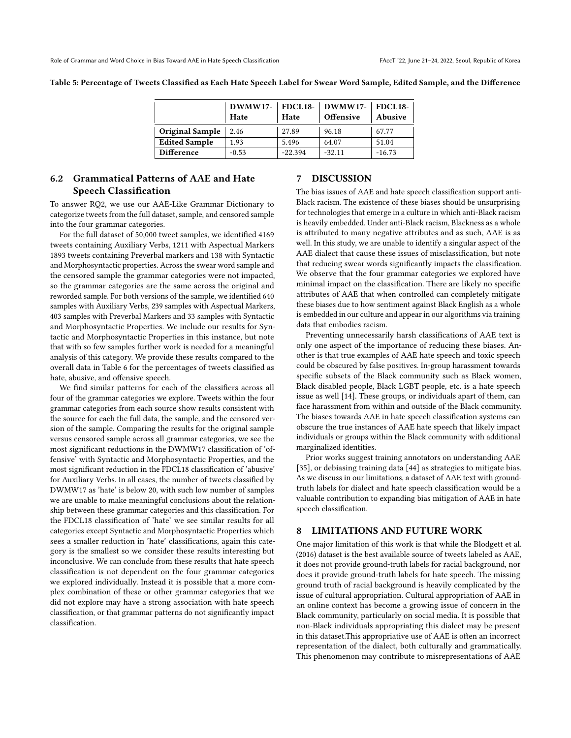<span id="page-6-0"></span>Table 5: Percentage of Tweets Classified as Each Hate Speech Label for Swear Word Sample, Edited Sample, and the Difference

|                      | Hate    | Hate      | DWMW17-   FDCL18-   DWMW17-   FDCL18-<br>Offensive | Abusive  |
|----------------------|---------|-----------|----------------------------------------------------|----------|
| Original Sample      | 2.46    | 27.89     | 96.18                                              | 67.77    |
| <b>Edited Sample</b> | 1.93    | 5.496     | 64.07                                              | 51.04    |
| <b>Difference</b>    | $-0.53$ | $-22.394$ | $-32.11$                                           | $-16.73$ |

# 6.2 Grammatical Patterns of AAE and Hate Speech Classification

To answer RQ2, we use our AAE-Like Grammar Dictionary to categorize tweets from the full dataset, sample, and censored sample into the four grammar categories.

For the full dataset of 50,000 tweet samples, we identified 4169 tweets containing Auxiliary Verbs, 1211 with Aspectual Markers 1893 tweets containing Preverbal markers and 138 with Syntactic and Morphosyntactic properties. Across the swear word sample and the censored sample the grammar categories were not impacted, so the grammar categories are the same across the original and reworded sample. For both versions of the sample, we identified 640 samples with Auxiliary Verbs, 239 samples with Aspectual Markers, 403 samples with Preverbal Markers and 33 samples with Syntactic and Morphosyntactic Properties. We include our results for Syntactic and Morphosyntactic Properties in this instance, but note that with so few samples further work is needed for a meaningful analysis of this category. We provide these results compared to the overall data in Table [6](#page-7-1) for the percentages of tweets classified as hate, abusive, and offensive speech.

We find similar patterns for each of the classifiers across all four of the grammar categories we explore. Tweets within the four grammar categories from each source show results consistent with the source for each the full data, the sample, and the censored version of the sample. Comparing the results for the original sample versus censored sample across all grammar categories, we see the most significant reductions in the DWMW17 classification of 'offensive' with Syntactic and Morphosyntactic Properties, and the most significant reduction in the FDCL18 classification of 'abusive' for Auxiliary Verbs. In all cases, the number of tweets classified by DWMW17 as 'hate' is below 20, with such low number of samples we are unable to make meaningful conclusions about the relationship between these grammar categories and this classification. For the FDCL18 classification of 'hate' we see similar results for all categories except Syntactic and Morphosyntactic Properties which sees a smaller reduction in 'hate' classifications, again this category is the smallest so we consider these results interesting but inconclusive. We can conclude from these results that hate speech classification is not dependent on the four grammar categories we explored individually. Instead it is possible that a more complex combination of these or other grammar categories that we did not explore may have a strong association with hate speech classification, or that grammar patterns do not significantly impact classification.

# 7 DISCUSSION

The bias issues of AAE and hate speech classification support anti-Black racism. The existence of these biases should be unsurprising for technologies that emerge in a culture in which anti-Black racism is heavily embedded. Under anti-Black racism, Blackness as a whole is attributed to many negative attributes and as such, AAE is as well. In this study, we are unable to identify a singular aspect of the AAE dialect that cause these issues of misclassification, but note that reducing swear words significantly impacts the classification. We observe that the four grammar categories we explored have minimal impact on the classification. There are likely no specific attributes of AAE that when controlled can completely mitigate these biases due to how sentiment against Black English as a whole is embedded in our culture and appear in our algorithms via training data that embodies racism.

Preventing unnecessarily harsh classifications of AAE text is only one aspect of the importance of reducing these biases. Another is that true examples of AAE hate speech and toxic speech could be obscured by false positives. In-group harassment towards specific subsets of the Black community such as Black women, Black disabled people, Black LGBT people, etc. is a hate speech issue as well [\[14\]](#page-8-15). These groups, or individuals apart of them, can face harassment from within and outside of the Black community. The biases towards AAE in hate speech classification systems can obscure the true instances of AAE hate speech that likely impact individuals or groups within the Black community with additional marginalized identities.

Prior works suggest training annotators on understanding AAE [\[35\]](#page-9-4), or debiasing training data [\[44\]](#page-9-19) as strategies to mitigate bias. As we discuss in our limitations, a dataset of AAE text with groundtruth labels for dialect and hate speech classification would be a valuable contribution to expanding bias mitigation of AAE in hate speech classification.

#### 8 LIMITATIONS AND FUTURE WORK

One major limitation of this work is that while the Blodgett et al. (2016) dataset is the best available source of tweets labeled as AAE, it does not provide ground-truth labels for racial background, nor does it provide ground-truth labels for hate speech. The missing ground truth of racial background is heavily complicated by the issue of cultural appropriation. Cultural appropriation of AAE in an online context has become a growing issue of concern in the Black community, particularly on social media. It is possible that non-Black individuals appropriating this dialect may be present in this dataset.This appropriative use of AAE is often an incorrect representation of the dialect, both culturally and grammatically. This phenomenon may contribute to misrepresentations of AAE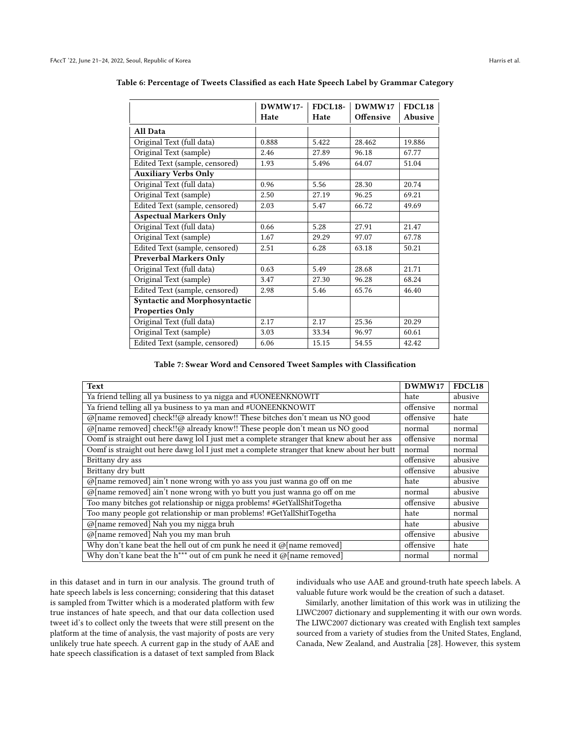|                                | DWMW17- | <b>FDCL18-</b> | DWMW17    | <b>FDCL18</b> |
|--------------------------------|---------|----------------|-----------|---------------|
|                                | Hate    | Hate           | Offensive | Abusive       |
| <b>All Data</b>                |         |                |           |               |
| Original Text (full data)      | 0.888   | 5.422          | 28.462    | 19.886        |
| Original Text (sample)         | 2.46    | 27.89          | 96.18     | 67.77         |
| Edited Text (sample, censored) | 1.93    | 5.496          | 64.07     | 51.04         |
| <b>Auxiliary Verbs Only</b>    |         |                |           |               |
| Original Text (full data)      | 0.96    | 5.56           | 28.30     | 20.74         |
| Original Text (sample)         | 2.50    | 27.19          | 96.25     | 69.21         |
| Edited Text (sample, censored) | 2.03    | 5.47           | 66.72     | 49.69         |
| <b>Aspectual Markers Only</b>  |         |                |           |               |
| Original Text (full data)      | 0.66    | 5.28           | 27.91     | 21.47         |
| Original Text (sample)         | 1.67    | 29.29          | 97.07     | 67.78         |
| Edited Text (sample, censored) | 2.51    | 6.28           | 63.18     | 50.21         |
| <b>Preverbal Markers Only</b>  |         |                |           |               |
| Original Text (full data)      | 0.63    | 5.49           | 28.68     | 21.71         |
| Original Text (sample)         | 3.47    | 27.30          | 96.28     | 68.24         |
| Edited Text (sample, censored) | 2.98    | 5.46           | 65.76     | 46.40         |
| Syntactic and Morphosyntactic  |         |                |           |               |
| <b>Properties Only</b>         |         |                |           |               |
| Original Text (full data)      | 2.17    | 2.17           | 25.36     | 20.29         |
| Original Text (sample)         | 3.03    | 33.34          | 96.97     | 60.61         |
| Edited Text (sample, censored) | 6.06    | 15.15          | 54.55     | 42.42         |

<span id="page-7-1"></span>

| Table 6: Percentage of Tweets Classified as each Hate Speech Label by Grammar Category |  |
|----------------------------------------------------------------------------------------|--|
|----------------------------------------------------------------------------------------|--|

Table 7: Swear Word and Censored Tweet Samples with Classification

<span id="page-7-0"></span>

| Text                                                                                       | DWMW17    | FDCL18  |
|--------------------------------------------------------------------------------------------|-----------|---------|
| Ya friend telling all ya business to ya nigga and #UONEENKNOWIT                            | hate      | abusive |
| Ya friend telling all ya business to ya man and #UONEENKNOWIT                              | offensive | normal  |
| @[name removed] check!!@ already know!! These bitches don't mean us NO good                | offensive | hate    |
| @[name removed] check!!@ already know!! These people don't mean us NO good                 | normal    | normal  |
| Oomf is straight out here dawg lol I just met a complete stranger that knew about her ass  | offensive | normal  |
| Oomf is straight out here dawg lol I just met a complete stranger that knew about her butt | normal    | normal  |
| Brittany dry ass                                                                           | offensive | abusive |
| Brittany dry butt                                                                          | offensive | abusive |
| $@[name$ removed] ain't none wrong with yo ass you just wanna go off on me                 | hate      | abusive |
| $\omega$ [name removed] ain't none wrong with yo butt you just wanna go off on me          | normal    | abusive |
| Too many bitches got relationship or nigga problems! #GetYallShitTogetha                   | offensive | abusive |
| Too many people got relationship or man problems! #GetYallShitTogetha                      | hate      | normal  |
| @[name removed] Nah you my nigga bruh                                                      | hate      | abusive |
| @[name removed] Nah you my man bruh                                                        | offensive | abusive |
| Why don't kane beat the hell out of cm punk he need it $@$ [name removed]                  | offensive | hate    |
| Why don't kane beat the h*** out of cm punk he need it $\omega$ [name removed]             | normal    | normal  |

in this dataset and in turn in our analysis. The ground truth of hate speech labels is less concerning; considering that this dataset is sampled from Twitter which is a moderated platform with few true instances of hate speech, and that our data collection used tweet id's to collect only the tweets that were still present on the platform at the time of analysis, the vast majority of posts are very unlikely true hate speech. A current gap in the study of AAE and hate speech classification is a dataset of text sampled from Black

individuals who use AAE and ground-truth hate speech labels. A valuable future work would be the creation of such a dataset.

Similarly, another limitation of this work was in utilizing the LIWC2007 dictionary and supplementing it with our own words. The LIWC2007 dictionary was created with English text samples sourced from a variety of studies from the United States, England, Canada, New Zealand, and Australia [\[28\]](#page-9-28). However, this system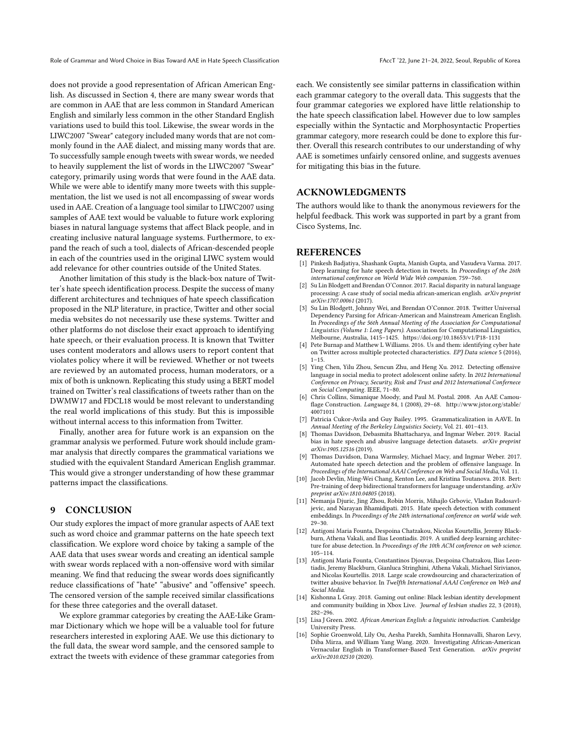Role of Grammar and Word Choice in Bias Toward AAE in Hate Speech Classification FACCT '22, June 21-24, 2022, Seoul, Republic of Korea

does not provide a good representation of African American English. As discussed in Section 4, there are many swear words that are common in AAE that are less common in Standard American English and similarly less common in the other Standard English variations used to build this tool. Likewise, the swear words in the LIWC2007 "Swear" category included many words that are not commonly found in the AAE dialect, and missing many words that are. To successfully sample enough tweets with swear words, we needed to heavily supplement the list of words in the LIWC2007 "Swear" category, primarily using words that were found in the AAE data. While we were able to identify many more tweets with this supplementation, the list we used is not all encompassing of swear words used in AAE. Creation of a language tool similar to LIWC2007 using samples of AAE text would be valuable to future work exploring biases in natural language systems that affect Black people, and in creating inclusive natural language systems. Furthermore, to expand the reach of such a tool, dialects of African-descended people in each of the countries used in the original LIWC system would add relevance for other countries outside of the United States.

Another limitation of this study is the black-box nature of Twitter's hate speech identification process. Despite the success of many different architectures and techniques of hate speech classification proposed in the NLP literature, in practice, Twitter and other social media websites do not necessarily use these systems. Twitter and other platforms do not disclose their exact approach to identifying hate speech, or their evaluation process. It is known that Twitter uses content moderators and allows users to report content that violates policy where it will be reviewed. Whether or not tweets are reviewed by an automated process, human moderators, or a mix of both is unknown. Replicating this study using a BERT model trained on Twitter's real classifications of tweets rather than on the DWMW17 and FDCL18 would be most relevant to understanding the real world implications of this study. But this is impossible without internal access to this information from Twitter.

Finally, another area for future work is an expansion on the grammar analysis we performed. Future work should include grammar analysis that directly compares the grammatical variations we studied with the equivalent Standard American English grammar. This would give a stronger understanding of how these grammar patterns impact the classifications.

# 9 CONCLUSION

Our study explores the impact of more granular aspects of AAE text such as word choice and grammar patterns on the hate speech text classification. We explore word choice by taking a sample of the AAE data that uses swear words and creating an identical sample with swear words replaced with a non-offensive word with similar meaning. We find that reducing the swear words does significantly reduce classifications of "hate" "abusive" and "offensive" speech. The censored version of the sample received similar classifications for these three categories and the overall dataset.

We explore grammar categories by creating the AAE-Like Grammar Dictionary which we hope will be a valuable tool for future researchers interested in exploring AAE. We use this dictionary to the full data, the swear word sample, and the censored sample to extract the tweets with evidence of these grammar categories from

each. We consistently see similar patterns in classification within each grammar category to the overall data. This suggests that the four grammar categories we explored have little relationship to the hate speech classification label. However due to low samples especially within the Syntactic and Morphosyntactic Properties grammar category, more research could be done to explore this further. Overall this research contributes to our understanding of why AAE is sometimes unfairly censored online, and suggests avenues for mitigating this bias in the future.

# ACKNOWLEDGMENTS

The authors would like to thank the anonymous reviewers for the helpful feedback. This work was supported in part by a grant from Cisco Systems, Inc.

#### REFERENCES

- <span id="page-8-7"></span>[1] Pinkesh Badjatiya, Shashank Gupta, Manish Gupta, and Vasudeva Varma. 2017. Deep learning for hate speech detection in tweets. In Proceedings of the 26th international conference on World Wide Web companion. 759–760.
- <span id="page-8-9"></span>[2] Su Lin Blodgett and Brendan O'Connor. 2017. Racial disparity in natural language processing: A case study of social media african-american english. arXiv preprint arXiv:1707.00061 (2017).
- <span id="page-8-11"></span>[3] Su Lin Blodgett, Johnny Wei, and Brendan O'Connor. 2018. Twitter Universal Dependency Parsing for African-American and Mainstream American English. In Proceedings of the 56th Annual Meeting of the Association for Computational Linguistics (Volume 1: Long Papers). Association for Computational Linguistics, Melbourne, Australia, 1415–1425.<https://doi.org/10.18653/v1/P18-1131>
- <span id="page-8-3"></span>[4] Pete Burnap and Matthew L Williams. 2016. Us and them: identifying cyber hate on Twitter across multiple protected characteristics. EPJ Data science 5 (2016),  $1 - 15$ .
- <span id="page-8-4"></span>[5] Ying Chen, Yilu Zhou, Sencun Zhu, and Heng Xu. 2012. Detecting offensive language in social media to protect adolescent online safety. In 2012 International Conference on Privacy, Security, Risk and Trust and 2012 International Confernece on Social Computing. IEEE, 71–80.
- <span id="page-8-10"></span>[6] Chris Collins, Simanique Moody, and Paul M. Postal. 2008. An AAE Camouflage Construction. Language 84, 1 (2008), 29–68. [http://www.jstor.org/stable/](http://www.jstor.org/stable/40071011) [40071011](http://www.jstor.org/stable/40071011)
- <span id="page-8-13"></span>[7] Patricia Cukor-Avila and Guy Bailey. 1995. Grammaticalization in AAVE. In Annual Meeting of the Berkeley Linguistics Society, Vol. 21. 401–413.
- <span id="page-8-0"></span>[8] Thomas Davidson, Debasmita Bhattacharya, and Ingmar Weber. 2019. Racial bias in hate speech and abusive language detection datasets. arXiv preprint arXiv:1905.12516 (2019).
- <span id="page-8-1"></span>[9] Thomas Davidson, Dana Warmsley, Michael Macy, and Ingmar Weber. 2017. Automated hate speech detection and the problem of offensive language. In Proceedings of the International AAAI Conference on Web and Social Media, Vol. 11.
- <span id="page-8-12"></span>[10] Jacob Devlin, Ming-Wei Chang, Kenton Lee, and Kristina Toutanova. 2018. Bert: Pre-training of deep bidirectional transformers for language understanding. arXiv preprint arXiv:1810.04805 (2018).
- <span id="page-8-5"></span>[11] Nemanja Djuric, Jing Zhou, Robin Morris, Mihajlo Grbovic, Vladan Radosavljevic, and Narayan Bhamidipati. 2015. Hate speech detection with comment embeddings. In Proceedings of the 24th international conference on world wide web. 29–30.
- <span id="page-8-6"></span>[12] Antigoni Maria Founta, Despoina Chatzakou, Nicolas Kourtellis, Jeremy Blackburn, Athena Vakali, and Ilias Leontiadis. 2019. A unified deep learning architecture for abuse detection. In Proceedings of the 10th ACM conference on web science. 105–114.
- <span id="page-8-2"></span>[13] Antigoni Maria Founta, Constantinos Djouvas, Despoina Chatzakou, Ilias Leontiadis, Jeremy Blackburn, Gianluca Stringhini, Athena Vakali, Michael Sirivianos, and Nicolas Kourtellis. 2018. Large scale crowdsourcing and characterization of twitter abusive behavior. In Twelfth International AAAI Conference on Web and Social Media.
- <span id="page-8-15"></span>[14] Kishonna L Gray. 2018. Gaming out online: Black lesbian identity development and community building in Xbox Live. Journal of lesbian studies 22, 3 (2018), 282–296.
- <span id="page-8-14"></span>[15] Lisa J Green. 2002. African American English: a linguistic introduction. Cambridge University Press.
- <span id="page-8-8"></span>[16] Sophie Groenwold, Lily Ou, Aesha Parekh, Samhita Honnavalli, Sharon Levy, Diba Mirza, and William Yang Wang. 2020. Investigating African-American Vernacular English in Transformer-Based Text Generation. arXiv preprint arXiv:2010.02510 (2020).